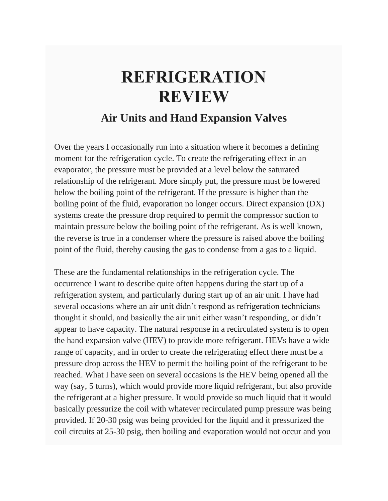## **REFRIGERATION REVIEW**

## **Air Units and Hand Expansion Valves**

Over the years I occasionally run into a situation where it becomes a defining moment for the refrigeration cycle. To create the refrigerating effect in an evaporator, the pressure must be provided at a level below the saturated relationship of the refrigerant. More simply put, the pressure must be lowered below the boiling point of the refrigerant. If the pressure is higher than the boiling point of the fluid, evaporation no longer occurs. Direct expansion (DX) systems create the pressure drop required to permit the compressor suction to maintain pressure below the boiling point of the refrigerant. As is well known, the reverse is true in a condenser where the pressure is raised above the boiling point of the fluid, thereby causing the gas to condense from a gas to a liquid.

These are the fundamental relationships in the refrigeration cycle. The occurrence I want to describe quite often happens during the start up of a refrigeration system, and particularly during start up of an air unit. I have had several occasions where an air unit didn't respond as refrigeration technicians thought it should, and basically the air unit either wasn't responding, or didn't appear to have capacity. The natural response in a recirculated system is to open the hand expansion valve (HEV) to provide more refrigerant. HEVs have a wide range of capacity, and in order to create the refrigerating effect there must be a pressure drop across the HEV to permit the boiling point of the refrigerant to be reached. What I have seen on several occasions is the HEV being opened all the way (say, 5 turns), which would provide more liquid refrigerant, but also provide the refrigerant at a higher pressure. It would provide so much liquid that it would basically pressurize the coil with whatever recirculated pump pressure was being provided. If 20-30 psig was being provided for the liquid and it pressurized the coil circuits at 25-30 psig, then boiling and evaporation would not occur and you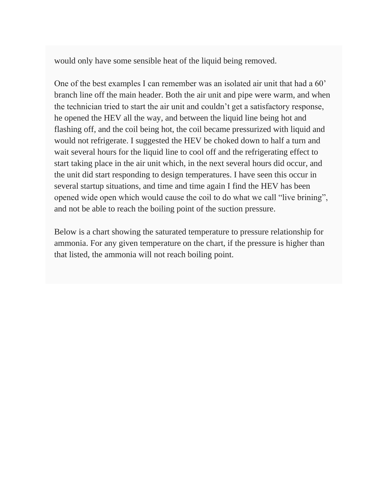would only have some sensible heat of the liquid being removed.

One of the best examples I can remember was an isolated air unit that had a 60' branch line off the main header. Both the air unit and pipe were warm, and when the technician tried to start the air unit and couldn't get a satisfactory response, he opened the HEV all the way, and between the liquid line being hot and flashing off, and the coil being hot, the coil became pressurized with liquid and would not refrigerate. I suggested the HEV be choked down to half a turn and wait several hours for the liquid line to cool off and the refrigerating effect to start taking place in the air unit which, in the next several hours did occur, and the unit did start responding to design temperatures. I have seen this occur in several startup situations, and time and time again I find the HEV has been opened wide open which would cause the coil to do what we call "live brining", and not be able to reach the boiling point of the suction pressure.

Below is a chart showing the saturated temperature to pressure relationship for ammonia. For any given temperature on the chart, if the pressure is higher than that listed, the ammonia will not reach boiling point.